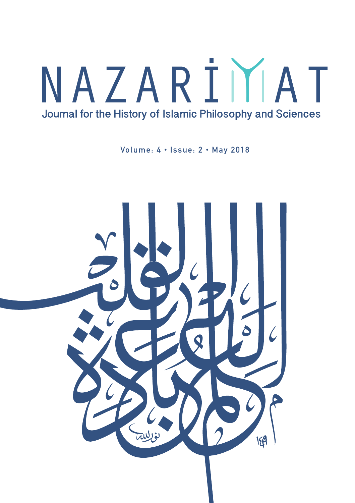# NAZARİMAT Journal for the History of Islamic Philosophy and Sciences

Volume: 4 • Issue: 2 • May 2018